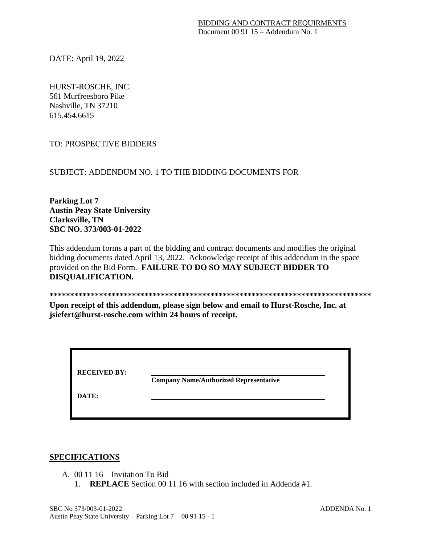DATE: April 19, 2022

HURST-ROSCHE, INC. 561 Murfreesboro Pike Nashville, TN 37210 615.454.6615

TO: PROSPECTIVE BIDDERS

SUBJECT: ADDENDUM NO. 1 TO THE BIDDING DOCUMENTS FOR

**Parking Lot 7 Austin Peay State University Clarksville, TN SBC NO. 373/003-01-2022**

This addendum forms a part of the bidding and contract documents and modifies the original bidding documents dated April 13, 2022. Acknowledge receipt of this addendum in the space provided on the Bid Form. **FAILURE TO DO SO MAY SUBJECT BIDDER TO DISQUALIFICATION.**

**\*\*\*\*\*\*\*\*\*\*\*\*\*\*\*\*\*\*\*\*\*\*\*\*\*\*\*\*\*\*\*\*\*\*\*\*\*\*\*\*\*\*\*\*\*\*\*\*\*\*\*\*\*\*\*\*\*\*\*\*\*\*\*\*\*\*\*\*\*\*\*\*\*\*\*\*\*\***

**Upon receipt of this addendum, please sign below and email to Hurst-Rosche, Inc. at jsiefert@hurst-rosche.com within 24 hours of receipt.** 

| <b>RECEIVED BY:</b> | <b>Company Name/Authorized Representative</b> |
|---------------------|-----------------------------------------------|
| DATE:               |                                               |

## **SPECIFICATIONS**

- A. 00 11 16 Invitation To Bid
	- 1. **REPLACE** Section 00 11 16 with section included in Addenda #1.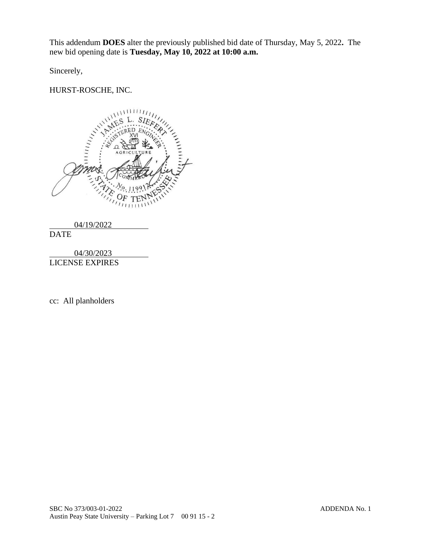This addendum **DOES** alter the previously published bid date of Thursday, May 5, 2022**.** The new bid opening date is **Tuesday, May 10, 2022 at 10:00 a.m.**

Sincerely,

# HURST-ROSCHE, INC.





04/30/2023 LICENSE EXPIRES

cc: All planholders